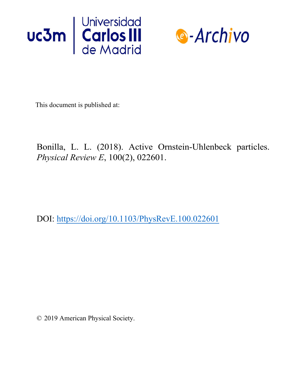



This document is published at:

Bonilla, L. L. (2018). Active Ornstein-Uhlenbeck particles. *Physical Review E*, 100(2), 022601.

DOI: https://doi.org/10.1103/PhysRevE.100.022601

© 2019 American Physical Society.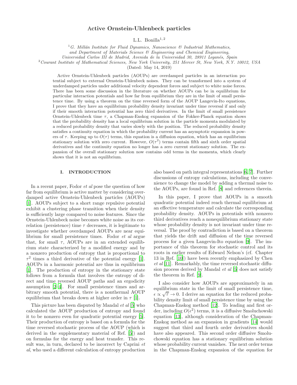## Active Ornstein-Uhlenbeck particles

L.L. Bonilla<sup>1,2</sup>

 ${}^{1}G$ . Millán Institute for Fluid Dynamics, Nanoscience & Industrial Mathematics,

and Department of Materials Science & Engineering and Chemical Engineering,

Universidad Carlos III de Madrid, Avenida de la Universidad 30, 28911 Leganés, Spain

<sup>2</sup> Courant Institute of Mathematical Sciences, New York University, 251 Mercer St, New York, N.Y. 10012, USA

(Dated: May 14, 2019)

Active Ornstein-Uhlenbeck particles (AOUPs) are overdamped particles in an interaction potential subject to external Ornstein-Uhlenbeck noises. They can be transformed into a system of underdamped particles under additional velocity dependent forces and subject to white noise forces. There has been some discussion in the literature on whether AOUPs can be in equilibrium for particular interaction potentials and how far from equilibrium they are in the limit of small persistence time. By using a theorem on the time reversed form of the AOUP Langevin-Ito equations, I prove that they have an equilibrium probability density invariant under time reversal if and only if their smooth interaction potential has zero third derivatives. In the limit of small persistence Ornstein-Uhlenbeck time  $\tau$ , a Chapman-Enskog expansion of the Fokker-Planck equation shows that the probability density has a local equilibrium solution in the particle momenta modulated by a reduced probability density that varies slowly with the position. The reduced probability density satisfies a continuity equation in which the probability current has an asymptotic expansion in powers of  $\tau$ . Keeping up to  $O(\tau)$  terms, this equation is a diffusion equation, which has an equilibrium stationary solution with zero current. However,  $O(\tau^2)$  terms contain fifth and sixth order spatial derivatives and the continuity equation no longer has a zero current stationary solution. The expansion of the overall stationary solution now contains odd terms in the momenta, which clearly shows that it is not an equilibrium.

### I. INTRODUCTION

In a recent paper, Fodor et al pose the question of how far from equilibrium is active matter by considering overdamped active Ornstein-Uhlenbeck particles (AOUPs) [\[1\]](#page-13-0). AOUPs subject to a short range repulsive potential exhibit a clustering phase transition when their density is sufficiently large compared to noise features. Since the Ornstein-Uhlenbeck noise becomes white noise as its correlation (persistence) time  $\tau$  decreases, it is legitimate to investigate whether overdamped AOUPs are near equilibrium for small persistence times. Fodor et al argue that, for small  $\tau$ , AOUPs are in an extended equilibrium state characterized by a modified energy and by a nonzero production of entropy that is proportional to  $\tau^2$  times a third derivative of the potential energy [\[1\]](#page-13-0). AOUPs in a harmonic potential are thus in equilibrium [\[1\]](#page-13-0). The production of entropy in the stationary state follows from a formula that involves the entropy of direct and time reversed AOUP paths and an ergodicity assumption [\[2](#page-13-1)[–4\]](#page-13-2). For small persistence times and arbitrary smooth potential, there is a nonthermal AOUP equilibrium that breaks down at higher order in  $\tau$  [\[1\]](#page-13-0).

This picture has been disputed by Mandal et al [\[5\]](#page-13-3) who calculated the AOUP production of entropy and found it to be nonzero even for quadratic potential energy [\[5\]](#page-13-3). Their production of entropy is based on a formula for the time reversed stochastic process of the AOUP (which is derived in the supplementary material of Ref. [\[5\]](#page-13-3)) and on formulas for the energy and heat transfer. This result was, in turn, declared to be incorrect by Caprini et al, who used a different calculation of entropy production also based on path integral representations [\[6,](#page-13-4) [7\]](#page-13-5). Further discussions of entropy calculations, including the convenience to change the model by adding a thermal noise to the AOUPs, are found in Ref. [\[8\]](#page-13-6) and references therein.

In this paper, I prove that AOUPs in a smooth quadratic potential indeed reach thermal equilibrium at an effective temperature and calculate the corresponding probability density. AOUPs in potentials with nonzero third derivatives reach a nonequilibrium stationary state whose probability density is not invariant under time reversal. The proof by contradiction is based on a theorem that yields the drift and diffusion of the time reversed process for a given Langevin-Ito equation [\[9\]](#page-13-7). The importance of this theorem for stochastic control and its roots in earlier results of Edward Nelson's (cf. Chapter 13 in Ref. [\[10\]](#page-13-8)) have been recently emphasized by Chen et al [\[11\]](#page-13-9). Remarkably, the time reversed stochastic diffusion process derived by Mandal et al [\[5\]](#page-13-3) does not satisfy the theorem in Ref. [\[9](#page-13-7)].

I also consider how AOUPs are approximately in an equilibrium state in the limit of small persistence time,  $\epsilon \propto \sqrt{\tau} \to 0$ . I derive an equation for the reduced probability density limit of small persistence time by using the Chapman-Enskog method [\[12](#page-13-10)]. To leading and first order, including  $O(\epsilon^2)$  terms, it is a diffusive Smoluchowski equation [\[13\]](#page-13-11), although consideration of the Chapman-Enskog method as an expansion in gradients [\[14\]](#page-13-12) would suggest that third and fourth order derivatives should have also appeared. This second order diffusive Smoluchowski equation has a stationary equilibrium solution whose probability current vanishes. The next order terms in the Chapman-Enskog expansion of the equation for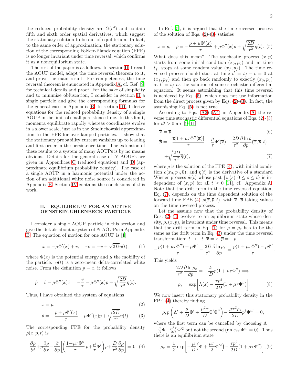the reduced probability density are  $O(\epsilon^4)$  and contain fifth and sixth order spatial derivatives, which suggest the stationary solution to be out of equilibrium. In fact, to the same order of approximation, the stationary solution of the corresponding Fokker-Planck equation (FPE) is no longer invariant under time reversal, which confirms it as a nonequilibrium state.

The rest of the paper is as follows. In section [II,](#page-2-0) I recall the AOUP model, adapt the time reversal theorem to it, and prove the main result. For completeness, the time reversal theorem is enunciated in Appendix [A,](#page-7-0) cf. Ref. [\[9](#page-13-7)] for technical details and proof. For the sake of simplicity and to minimize obfuscation, I consider in section [II](#page-2-0) a single particle and give the corresponding formulas for the general case in Appendix [B.](#page-7-1) In section [III,](#page-3-0) I derive equations for the reduced probability density of a single AOUP in the limit of small persistence time. In this limit, momenta equilibrate rapidly whereas coordinates evolve in a slower scale, just as in the Smoluchowski approximation to the FPE for overdamped particles. I show that the stationary probability current vanishes up to leading and first order in the persistence time. The extension of these results to a system of many AOUPs is by no means obvious. Details for the general case of N AOUPs are given in Appendices [C](#page-8-0) (reduced equation) and [D](#page-12-0) (approximate equilibrium probability density). The case of a single AOUP in a harmonic potential under the action of an additional white noise source is considered in Appendix [E.](#page-12-1) Section [IV](#page-6-0) contains the conclusions of this work.

### <span id="page-2-0"></span>II. EQUILIBRIUM FOR AN ACTIVE ORNSTEIN-UHLENBECK PARTICLE

I consider a single AOUP particle in this section and give the details about a system of N AOUPs in Appendix [B.](#page-7-1) The equation of motion for one AOUP is [\[1](#page-13-0)]

$$
\dot{x} = -\mu \Phi'(x) + v, \quad \tau \dot{v} = -v + \sqrt{2D}\eta(t), \qquad (1)
$$

where  $\Phi(x)$  is the potential energy and  $\mu$  the mobility of the particle.  $\eta(t)$  is a zero-mean delta-correlated white noise. From the definition  $p = \dot{x}$ , it follows

$$
\dot{p} = \dot{v} - \mu \Phi''(x)\dot{x} = -\frac{v}{\tau} - \mu \Phi''(x)p + \sqrt{\frac{2D}{\tau^2}}\eta(t).
$$

Thus, I have obtained the system of equations

<span id="page-2-1"></span>
$$
\dot{x} = p,\tag{2}
$$

$$
\dot{p} = -\frac{p + \mu \Phi'(x)}{\tau} - \mu \Phi''(x)p + \sqrt{\frac{2D}{\tau^2}} \eta(t). \tag{3}
$$

The corresponding FPE for the probability density  $\rho(x, p, t)$  is

<span id="page-2-3"></span>
$$
\frac{\partial \rho}{\partial t} + p \frac{\partial \rho}{\partial x} - \frac{\partial}{\partial p} \left[ \left( \frac{1 + \mu \tau \Phi''}{\tau} p + \frac{\mu}{\tau} \Phi' \right) \rho + \frac{D}{\tau^2} \frac{\partial \rho}{\partial p} \right] = 0. \quad (4)
$$

.

In Ref. [\[5](#page-13-3)], it is argued that the time reversed process of the solution of Eqs.  $(2)-(3)$  $(2)-(3)$  satisfies

<span id="page-2-2"></span>
$$
\dot{x} = p, \quad \dot{p} = -\frac{p + \mu \Phi'(x)}{\tau} + \mu \Phi''(x)p + \sqrt{\frac{2D}{\tau^2}} \eta(t).
$$
 (5)

What does this mean? The stochastic process  $(x, p)$ starts from some initial condition  $(x_0, p_0)$  and, at time  $t_f$ , stops at some random value  $(x_f, p_f)$ . The time reversed process should start at time  $t' = t_f - t = 0$  at  $(x_f, p_f)$  and then go back randomly to exactly  $(x_0, p_0)$ at  $t' = t_f$  as the solution of some stochastic differential equation. It seems astonishing that this time reversal is achieved by Eq. [\(5\)](#page-2-2), which does not use information from the direct process given by Eqs.  $(2)-(3)$  $(2)-(3)$ . In fact, the astonishing Eq. [\(5\)](#page-2-2) is not true.

According to Eqs.  $(A2)-(A4)$  $(A2)-(A4)$  in Appendix [A,](#page-7-0) the reverse time stochastic differential equations of Eqs. [\(2\)](#page-2-1)-[\(3\)](#page-2-1) for  $dt > 0$  are [\[9](#page-13-7)-11]

<span id="page-2-4"></span>
$$
\begin{aligned}\n\dot{\overline{x}} &= \overline{p}, & (6) \\
\dot{\overline{p}} &= -\frac{\overline{p}[1 + \mu \tau \Phi''(\overline{x})]}{\tau} - \frac{\mu}{\tau} \Phi'(\overline{x}) - \frac{2D}{\tau^2} \frac{\partial \ln \rho}{\partial p} (\overline{x}, \overline{p}, t) \\
&+ \sqrt{\frac{2D}{\tau^2} \overline{\eta}}(t), & (7)\n\end{aligned}
$$

where  $\rho$  is the solution of the FPE [\(4\)](#page-2-3), with initial condition  $\rho(x_0, p_0, 0)$ , and  $\overline{\eta}(t)$  is the derivative of a standard Wiener process  $\hat{w}(t)$  whose past  $\{\hat{w}(s); 0 \leq s \leq t\}$  is independent of  $(\overline{x}, \overline{p})$  for all  $t \geq 0$  [\[11\]](#page-13-9), cf. Appendix [A.](#page-7-0) Note that the drift term in the time reversed equation, Eq. [\(7\)](#page-2-4), depends on the time dependent solution of the forward time FPE [\(4\)](#page-2-3)  $\rho(\overline{x}, \overline{p}, t)$ , with  $\overline{x}, \overline{p}$  taking values on the time reversed process.

Let me assume now that the probability density of Eqs.  $(2)-(3)$  $(2)-(3)$  evolves to an equilibrium state whose density,  $\rho_s(x, p)$ , is invariant under time reversal. This means that the drift term in Eq. [\(7\)](#page-2-4) for  $\rho = \rho_s$  has to be the same as the drift term in Eq. [\(3\)](#page-2-1) under the time reversal transformation:  $t \to -t$ ,  $\overline{x} = x$ ,  $\overline{p} = -p$ ,

$$
-\frac{p(1+\mu\tau\Phi'')+\mu\Phi'}{\tau}-\frac{2D}{\tau^2}\frac{\partial\ln\rho_s}{\partial p}=\frac{p(1+\mu\tau\Phi'')-\mu\Phi'}{\tau}
$$

This yields

$$
\frac{2D}{\tau^2} \frac{\partial \ln \rho_s}{\partial p} = -\frac{2\tau}{D} p(1 + \mu \tau \Phi'') \Longrightarrow
$$

$$
\rho_s = \exp\left[\Lambda(x) - \frac{\tau p^2}{2D} (1 + \mu \tau \Phi'')\right]. \tag{8}
$$

We now insert this stationary probability density in the FPE [\(4\)](#page-2-3) thereby finding

$$
\rho_s p \left( \Lambda' + \frac{\mu}{D} \Phi' + \frac{\mu^2 \tau}{D} \Phi' \Phi'' \right) - \frac{\mu \tau^2 \rho_s}{2D} p^3 \Phi''' = 0,
$$

where the first term can be cancelled by choosing  $\Lambda =$  $-\frac{\mu}{D}\Phi - \frac{\mu^2 \tau}{2D} \Phi'^2$  but not the second (unless  $\Phi''' = 0$ ). Thus there is an equilibrium state

<span id="page-2-5"></span>
$$
\rho_s = \frac{1}{Z} \exp \left[ -\frac{\mu}{D} \left( \Phi + \frac{\mu \tau}{2} {\Phi'}^2 \right) - \frac{\tau p^2}{2D} (1 + \mu \tau {\Phi''}) \right], (9)
$$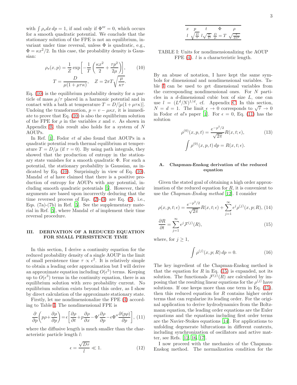with  $\int \rho_s dx dp = 1$ , if and only if  $\Phi''' = 0$ , which occurs for a smooth quadratic potential. We conclude that the stationary solution of the FPE is not an equilibrium, invariant under time reversal, unless  $\Phi$  is quadratic, e.g.,  $\Phi = \kappa x^2/2$ . In this case, the probability density is Gaussian:

<span id="page-3-1"></span>
$$
\rho_s(x, p) = \frac{1}{Z} \exp\left[-\frac{1}{T} \left(\frac{\kappa x^2}{2} + \frac{\tau p^2}{2\mu}\right)\right],\qquad(10)
$$

$$
T = \frac{D}{\mu(1 + \mu \tau \kappa)},\quad Z = 2\pi T \sqrt{\frac{\mu}{\kappa \tau}}.
$$

Eq. [\(10\)](#page-3-1) is the equilibrium probability density for a particle of mass  $\mu/\tau$  placed in a harmonic potential and in contact with a bath at temperature  $T = D/[\mu(1 + \mu \tau \kappa)].$ Undoing the transformation,  $p = v - \mu \kappa x$ , it is immediate to prove that Eq. [\(10\)](#page-3-1) is also the equilibrium solution of the FPE for  $\rho$  in the variables x and v. As shown in Appendix [B,](#page-7-1) this result also holds for a system of N AOUPs.

In Ref. [\[1](#page-13-0)], Fodor *et al* also found that AOUPs in a quadratic potential reach thermal equilibrium at temperature  $T = D/\mu$  (if  $\tau = 0$ ). By using path integrals, they showed that the production of entropy in the stationary state vanishes for a smooth quadratic Φ. For such a potential, the stationary probability is Gaussian, as in-dicated by Eq. [\(10\)](#page-3-1). Surprisingly in view of Eq. (10), Mandal et al have claimed that there is a positive production of entropy for AOUPs with any potential, including smooth quadratic potentials [\[5](#page-13-3)]. However, their arguments are based upon incorrectly deducing that the time reversed process of Eqs.  $(2)-(3)$  $(2)-(3)$  are Eq.  $(5)$ , i.e., Eqs. (7a)-(7b) in Ref. [\[5](#page-13-3)]. See the supplementary material in Ref. [\[5\]](#page-13-3), where Mandal et al implement their time reversal procedure.

## <span id="page-3-0"></span>III. DERIVATION OF A REDUCED EQUATION FOR SMALL PERSISTENCE TIME

In this section, I derive a continuity equation for the reduced probability density of a single AOUP in the limit of small persistence time  $\tau \propto \epsilon^2$ . It is relatively simple to obtain a leading order approximation but I will derive an approximate equation including  $O(\epsilon^5)$  terms. Keeping up to  $O(\epsilon^3)$  terms in the continuity equation, there is an equilibrium solution with zero probability current. No equilibrium solution exists beyond this order, as I show by direct calculation of the approximate stationary state.

Firstly, let me nondimensionalize the FPE [\(4\)](#page-2-3) according to Table [I.](#page-3-2) The nondimensional FPE is

<span id="page-3-3"></span>
$$
\frac{\partial}{\partial p}\left(p\rho + \frac{\partial \rho}{\partial p}\right) = \epsilon \left[\frac{\partial \rho}{\partial t} + p\frac{\partial \rho}{\partial x} - \Phi'\frac{\partial \rho}{\partial p} - \epsilon \Phi'' \frac{\partial (p\rho)}{\partial p}\right], (11)
$$

where the diffusive length is much smaller than the characteristic particle length l:

$$
\epsilon = \frac{\sqrt{D\tau}}{l} \ll 1. \tag{12}
$$

$$
\begin{array}{ccccc}\nx & p & t & \Phi & \rho \\
\frac{l}{\sqrt{\frac{D}{\tau}}} & l\sqrt{\frac{\tau}{D}} & \frac{D}{\mu} = T & \sqrt{\frac{\tau}{Dl^2}}\n\end{array}
$$

<span id="page-3-2"></span>TABLE I: Units for nondimensionalizing the AOUP FPE [\(4\)](#page-2-3). *l* is a characteristic length.

By an abuse of notation, I have kept the same symbols for dimensional and nondimensional variables. Table [I](#page-3-2) can be used to get dimensional variables from the corresponding nondimensional ones. For N particles in a  $d$ -dimensional cubic box of size  $L$ , one can use  $l = (L^d/N)^{1/d}$ , cf. Appendix [C.](#page-8-0) In this section,  $N = d = 1$ . The limit  $\epsilon \to 0$  corresponds to  $\sqrt{\tau} \to 0$ in Fodor *et al's* paper [\[1](#page-13-0)]. For  $\epsilon = 0$ , Eq. [\(11\)](#page-3-3) has the solution

<span id="page-3-5"></span>
$$
\rho^{(0)}(x, p, t) = \frac{e^{-p^2/2}}{\sqrt{2\pi}} R(x, t; \epsilon),
$$
\n(13)\n
$$
\int \rho^{(0)}(x, p, t) \, dp = R(x, t; \epsilon).
$$

### A. Chapman-Enskog derivation of the reduced equation

Given the stated goal of obtaining a high order approximation of the reduced equation for  $R$ , it is convenient to use the Chapman-Enskog method [\[12\]](#page-13-10). I consider

<span id="page-3-4"></span>
$$
\rho(x, p, t; \epsilon) = \frac{e^{-p^2/2}}{\sqrt{2\pi}} R(x, t; \epsilon) + \sum_{j=1}^{\infty} \epsilon^j \rho^{(j)}(x, p; R), (14)
$$

$$
\frac{\partial R}{\partial t} = \sum_{j=1}^{\infty} \epsilon^j \mathcal{F}^{(j)}(R),\tag{15}
$$

where, for  $j \geq 1$ ,

<span id="page-3-6"></span>
$$
\int \rho^{(j)}(x, p; R) dp = 0.
$$
 (16)

The key ingredient of the Chapman-Enskog method is that the equation for  $R$  in Eq. [\(15\)](#page-3-4) is expanded, not its solution. The functionals  $\mathcal{F}^{(j)}(R)$  are calculated by imposing that the resulting linear equations for the  $\rho^{(j)}$  have solutions. If one keeps more than one term in Eq. [\(15\)](#page-3-4), then this reduced equation for  $R$  contains higher order terms that can regularize its leading order. For the original application to derive hydrodynamics from the Boltzmann equation, the leading order equations are the Euler equations and the equations including first order terms are the Navier-Stokes equations [\[14\]](#page-13-12). For applications to unfolding degenerate bifurcations in different contexts, including synchronization of oscillators and active matter, see Refs. [\[12,](#page-13-10) [16](#page-13-13), [17](#page-13-14)].

I now proceed with the mechanics of the Chapman-Enskog method. The normalization condition for the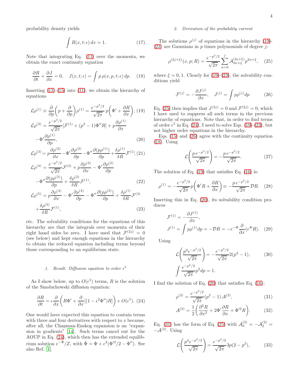probability density yields

<span id="page-4-7"></span>
$$
\int R(x, t; \epsilon) dx = 1.
$$
 (17)

Note that integrating Eq. [\(11\)](#page-3-3) over the momenta, we obtain the exact continuity equation

<span id="page-4-4"></span>
$$
\frac{\partial R}{\partial t} + \frac{\partial J}{\partial x} = 0, \quad J(x, t; \epsilon) = \int p \, \rho(x, p, t; \epsilon) \, dp. \tag{18}
$$

Inserting  $(13)-(15)$  $(13)-(15)$  into  $(11)$ , we obtain the hierarchy of equations

<span id="page-4-1"></span>
$$
\mathcal{L}\rho^{(1)} \equiv \frac{\partial}{\partial p} \left( p + \frac{\partial}{\partial p} \right) \rho^{(1)} = \frac{e^{-p^2/2}}{\sqrt{2\pi}} p \left( \Phi' + \frac{\partial R}{\partial x} \right), (19)
$$

$$
\mathcal{L}\rho^{(2)} = \frac{e^{-p^2/2}}{\sqrt{2\pi}} [\mathcal{F}^{(1)} + (p^2 - 1)\Phi'' R] + p \frac{\partial \rho^{(1)}}{\partial x}
$$

$$
-\Phi' \frac{\partial \rho^{(1)}}{\partial p}, \tag{20}
$$

$$
\mathcal{L}\rho^{(3)} = p\frac{\partial \rho^{(2)}}{\partial x} - \Phi'\frac{\partial \rho^{(2)}}{\partial p} - \Phi''\frac{\partial (p\rho^{(1)})}{\partial p} + \frac{\delta \rho^{(1)}}{\delta R} \mathcal{F}^{(1)}, (21)
$$

$$
\mathcal{L}\rho^{(4)} = \frac{e^{-p^2/2}}{\sqrt{2\pi}} \mathcal{F}^{(3)} + p\frac{\partial \rho^{(3)}}{\partial x} - \Phi'\frac{\partial \rho^{(3)}}{\partial p}
$$

$$
-\Phi^{\prime\prime}\frac{\partial(p\rho^{(2)})}{\partial p} + \frac{\delta\rho^{(2)}}{\delta R} \mathcal{F}^{(1)},\tag{22}
$$

$$
\mathcal{L}\rho^{(5)} = p\frac{\partial \rho^{(4)}}{\partial x} - \Phi'\frac{\partial \rho^{(4)}}{\partial p} - \Phi''\frac{\partial (p\rho^{(3)})}{\partial p} + \frac{\delta \rho^{(1)}}{\delta R}\mathcal{F}^{(3)}
$$

$$
+ \frac{\delta \rho^{(3)}}{\delta R}\mathcal{F}^{(1)},
$$
(23)

etc. The solvability conditions for the equations of this hierarchy are that the integrals over momenta of their right hand sides be zero. I have used that  $\mathcal{F}^{(2j)} = 0$ (see below) and kept enough equations in the hierarchy to obtain the reduced equation including terms beyond those corresponding to an equilibrium state.

# 1. Result: Diffusion equation to order  $\epsilon^3$

As I show below, up to  $O(\epsilon^5)$  terms, R is the solution of the Smoluchowski diffusion equation:

<span id="page-4-0"></span>
$$
\frac{\partial R}{\partial t} = \epsilon \frac{\partial}{\partial x} \left( R \Phi' + \frac{\partial}{\partial x} [(1 - \epsilon^2 \Phi'') R] \right) + O(\epsilon^5). (24)
$$

One would have expected this equation to contain terms with three and four derivatives with respect to  $x$  because, after all, the Chapman-Enskog expansion is an "expansion in gradients" [\[14\]](#page-13-12). Such terms cancel out for the AOUP in Eq. [\(24\)](#page-4-0), which then has the extended equilibrium solution  $e^{-\tilde{\Phi}}/Z$ , with  $\tilde{\Phi} = \Phi + \epsilon^2 (\Phi^2/2 - \Phi^{\prime\prime})$ . See also Ref. [\[1\]](#page-13-0).

## 2. Derivation of the probability current

The solutions  $\rho^{(j)}$  of equations in the hierarchy [\(19\)](#page-4-1)- $(23)$  are Gaussians in p times polynomials of degree j:

<span id="page-4-2"></span>
$$
\rho^{(2j+\xi)}(x,p;R) = \frac{e^{-p^2/2}}{\sqrt{2\pi}} \sum_{n=0}^{j} \mathcal{A}_{2n+\xi}^{(2j+\xi)} p^{2n+\xi}, \quad (25)
$$

where  $\xi = 0, 1$ . Clearly for [\(19\)](#page-4-1)-[\(23\)](#page-4-1), the solvability conditions yield

<span id="page-4-3"></span>
$$
\mathcal{F}^{(j)} = -\frac{\partial J^{(j)}}{\partial x}, \quad J^{(j)} = \int p \rho^{(j)} dp. \tag{26}
$$

Eq. [\(25\)](#page-4-2) then implies that  $J^{(2j)} = 0$  and  $\mathcal{F}^{(2j)} = 0$ , which I have used to suppress all such terms in the previous hierarchy of equations. Note that, in order to find terms of order  $\epsilon^5$  in Eq. [\(24\)](#page-4-0), I need to solve Eqs. [\(19\)](#page-4-1)-[\(23\)](#page-4-1), but not higher order equations in the hierarchy.

Eqs. [\(15\)](#page-3-4) and [\(26\)](#page-4-3) agree with the continuity equation [\(18\)](#page-4-4). Using

$$
\mathcal{L}\left(\frac{p \, e^{-p^2/2}}{\sqrt{2\pi}}\right) = -\frac{p \, e^{-p^2/2}}{\sqrt{2\pi}},\tag{27}
$$

The solution of Eq. [\(19\)](#page-4-1) that satisfies Eq. [\(16\)](#page-3-6) is:

<span id="page-4-6"></span>
$$
\rho^{(1)} = -\frac{e^{-p^2/2}}{\sqrt{2\pi}} p \left( \Phi'R + \frac{\partial R}{\partial x} \right) \equiv -\frac{p \, e^{-p^2/2}}{\sqrt{2\pi}} \, \mathcal{D}R. \tag{28}
$$

Inserting this in Eq. [\(20\)](#page-4-1), its solvability condition produces

<span id="page-4-8"></span>
$$
\mathcal{F}^{(1)} = -\frac{\partial J^{(1)}}{\partial x},
$$
  
\n
$$
J^{(1)} = \int p\rho^{(1)} dp = -\mathcal{D}R = -e^{-\Phi} \frac{\partial}{\partial x} (e^{\Phi} R). \quad (29)
$$

Using

$$
\mathcal{L}\left(\frac{p^2 e^{-p^2/2}}{\sqrt{2\pi}}\right) = -\frac{e^{-p^2/2}}{\sqrt{2\pi}} 2(p^2 - 1),\tag{30}
$$
\n
$$
\int \frac{e^{-p^2/2}}{\sqrt{2\pi}} p^2 dp = 1.
$$

I find the solution of Eq. [\(20\)](#page-4-1) that satisfies Eq. [\(16\)](#page-3-6):

<span id="page-4-5"></span>
$$
\rho^{(2)} = \frac{e^{-p^2/2}}{\sqrt{2\pi}} (p^2 - 1) \mathcal{A}^{(2)},
$$
\n(31)

$$
\mathcal{A}^{(2)} = \frac{1}{2} \left( \frac{\partial^2 R}{\partial x^2} + 2\Phi' \frac{\partial R}{\partial x} + \Phi'^2 R \right). \tag{32}
$$

Eq. [\(31\)](#page-4-5) has the form of Eq. [\(25\)](#page-4-2) with  $\mathcal{A}_0^{(2)} = -\mathcal{A}_2^{(2)} =$  $-\mathcal{A}^{(2)}$ . Using

$$
\mathcal{L}\left(\frac{p^3 e^{-p^2/2}}{\sqrt{2\pi}}\right) = \frac{e^{-p^2/2}}{\sqrt{2\pi}} 3p(2-p^2),\tag{33}
$$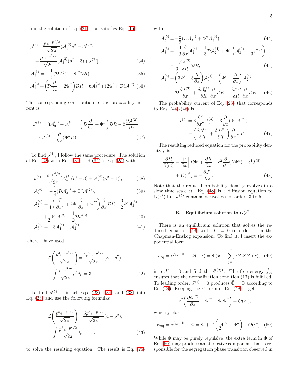I find the solution of Eq. [\(21\)](#page-4-1) that satisfies Eq. [\(16\)](#page-3-6):

<span id="page-5-0"></span>
$$
\rho^{(3)} = \frac{p e^{-p^2/2}}{\sqrt{2\pi}} (\mathcal{A}_3^{(3)} p^2 + \mathcal{A}_1^{(3)})
$$
  
= 
$$
\frac{p e^{-p^2/2}}{\sqrt{2\pi}} [\mathcal{A}_3^{(3)} (p^2 - 3) + J^{(3)}],
$$
 (34)

$$
\mathcal{A}_3^{(3)} = -\frac{1}{3} (\mathcal{D}\mathcal{A}^{(2)} - \Phi'' \mathcal{D}R),\tag{35}
$$

$$
\mathcal{A}_1^{(3)} = \left(\mathcal{D}\frac{\partial}{\partial x} - 2\Phi''\right)\mathcal{D}R + 6\mathcal{A}_3^{(3)} + (2\Phi' + \mathcal{D})\mathcal{A}^{(2)}.\,(36)
$$

The corresponding contribution to the probability current is

$$
J^{(3)} = 3\mathcal{A}_3^{(3)} + \mathcal{A}_1^{(3)} = \left(\mathcal{D}\frac{\partial}{\partial x} + \Phi''\right)\mathcal{D}R - 2\frac{\partial\mathcal{A}^{(2)}}{\partial x}
$$

$$
\implies J^{(3)} = \frac{\partial}{\partial x}(\Phi''R). \tag{37}
$$

To find  $\rho^{(4)}$ , I follow the same procedure. The solution of Eq.  $(22)$  with Eqs.  $(31)$  and  $(34)$  is Eq.  $(25)$  with

<span id="page-5-1"></span>
$$
\rho^{(4)} = \frac{e^{-p^2/2}}{\sqrt{2\pi}} \left[ \mathcal{A}_4^{(4)}(p^4 - 3) + \mathcal{A}_2^{(4)}(p^2 - 1) \right],\tag{38}
$$

$$
\mathcal{A}_4^{(4)} = -\frac{1}{4} (\mathcal{D}\mathcal{A}_3^{(3)} + \Phi'' \mathcal{A}^{(2)}),\tag{39}
$$

$$
\mathcal{A}_{2}^{(4)} = \frac{1}{4} \left( \frac{\partial^2}{\partial x^2} + 2\Phi' \frac{\partial}{\partial x} + \Phi'^2 \right) \frac{\partial}{\partial x} \mathcal{D}R + \frac{3}{2} \Phi' \mathcal{A}_{3}^{(3)}
$$

$$
+ \frac{1}{2} \Phi'' \mathcal{A}^{(2)} - \frac{1}{2} \mathcal{D} J^{(3)}, \tag{40}
$$

$$
\mathcal{A}_0^{(4)} = -3\mathcal{A}_4^{(4)} - \mathcal{A}_2^{(4)},\tag{41}
$$

where I have used

$$
\mathcal{L}\left(\frac{p^4 e^{-p^2/2}}{\sqrt{2\pi}}\right) = \frac{4p^2 e^{-p^2/2}}{\sqrt{2\pi}} (3 - p^2),
$$
  

$$
\int \frac{e^{-p^2/2}}{\sqrt{2\pi}} p^4 dp = 3.
$$
 (42)

To find  $\rho^{(5)}$ , I insert Eqs. [\(28\)](#page-4-6), [\(34\)](#page-5-0) and [\(38\)](#page-5-1) into Eq. [\(23\)](#page-4-1) and use the following formulas

$$
\mathcal{L}\left(\frac{p^5 e^{-p^2/2}}{\sqrt{2\pi}}\right) = \frac{5p^3 e^{-p^2/2}}{\sqrt{2\pi}} (4 - p^2),
$$
  

$$
\int \frac{p^5 e^{-p^2/2}}{\sqrt{2\pi}} dp = 15.
$$
 (43)

to solve the resulting equation. The result is Eq. [\(25\)](#page-4-2)

with

<span id="page-5-2"></span>
$$
\mathcal{A}_5^{(5)} = -\frac{1}{5} (\mathcal{D}\mathcal{A}_4^{(4)} + \Phi''\mathcal{A}_3^{(3)}),
$$
\n
$$
\mathcal{A}_3^{(5)} = -\frac{4}{3} \frac{\partial}{\partial x} \mathcal{A}_4^{(4)} - \frac{1}{3} \mathcal{D}\mathcal{A}_2^{(4)} + \Phi'' \left( \mathcal{A}_3^{(3)} - \frac{1}{3} J^{(3)} \right)
$$
\n
$$
-\frac{1}{3} \frac{\delta \mathcal{A}_3^{(3)}}{\delta R} \mathcal{D}R,
$$
\n
$$
\mathcal{A}_1^{(5)} = \left( 3\Phi' - 5\frac{\partial}{\partial x} \right) \mathcal{A}_4^{(4)} + \left( \Phi' - \frac{\partial}{\partial x} \right) \mathcal{A}_2^{(4)}
$$
\n
$$
- \mathcal{D}\frac{\partial J^{(3)}}{\partial x} + \frac{\delta \mathcal{A}_3^{(3)}}{\delta R} \frac{\partial}{\partial x} \mathcal{D}R - \frac{\delta J^{(3)}}{\delta R} \frac{\partial}{\partial x} \mathcal{D}R.
$$
\n(46)

\nThe probability current of Eq. (26) that corresponds

The probability current of Eq. [\(26\)](#page-4-3) that corresponds to Eqs.  $(44)-(46)$  $(44)-(46)$  is

$$
J^{(5)} = 3\frac{\partial^2}{\partial x^2} \mathcal{A}_3^{(3)} + 3\frac{\partial}{\partial x} (\Phi'' \mathcal{A}^{(2)})
$$

$$
-\left(\frac{\delta \mathcal{A}^{(2)}}{\delta R} + \frac{\delta J^{(3)}}{\delta R}\right) \frac{\partial}{\partial x} \mathcal{D}R.
$$
 (47)

The resulting reduced equation for the probability density  $\rho$  is

<span id="page-5-3"></span>
$$
\frac{\partial R}{\partial(\epsilon t)} = \frac{\partial}{\partial x} \left[ R\Phi' + \frac{\partial R}{\partial x} - \epsilon^2 \frac{\partial}{\partial x} (R\Phi'') - \epsilon^4 J^{(5)} \right] \n+ O(\epsilon^6) \equiv -\frac{\partial J^r}{\partial x}.
$$
\n(48)

Note that the reduced probability density evolves in a slow time scale  $\epsilon t$ . Eq. [\(48\)](#page-5-3) is a diffusion equation to  $O(\epsilon^2)$  but  $J^{(5)}$  contains derivatives of orders 3 to 5.

# B. Equilibrium solution to  $O(\epsilon^2)$

There is an equilibrium solution that solves the re-duced equation [\(48\)](#page-5-3) with  $J^r = 0$  to order  $\epsilon^5$  in the Chapman-Enskog expansion. To find it, I insert the exponential form

$$
\rho_{\text{eq}} = e^{\tilde{f}_{\text{eq}} - \tilde{\Phi}}, \quad \tilde{\Phi}(x; \epsilon) = \Phi(x) + \sum_{j=1}^{2} \epsilon^{2j} \Phi^{(2j)}(x), \quad (49)
$$

into  $J^r = 0$  and find the  $\Phi^{(2j)}$ . The free energy  $\tilde{f}_{eq}$ ensures that the normalization condition [\(17\)](#page-4-7) is fulfilled. To leading order,  $J^{(1)} = 0$  produces  $\tilde{\Phi} = \Phi$  according to Eq. [\(29\)](#page-4-8). Keeping the  $\epsilon^2$  term in Eq. [\(48\)](#page-5-3), I get

$$
-\epsilon^2 \left(\frac{\partial \Phi^{(2)}}{\partial x} + \Phi''' - \Phi' \Phi''\right) = O(\epsilon^4),
$$

which yields

<span id="page-5-4"></span>
$$
R_{\text{eq}} = e^{\tilde{f}_{\text{eq}} - \tilde{\Phi}}, \quad \tilde{\Phi} = \Phi + \epsilon^2 \left(\frac{1}{2} \Phi^{\prime 2} - \Phi^{\prime \prime}\right) + O(\epsilon^4). \tag{50}
$$

While  $\Phi$  may be purely repulsive, the extra term in  $\Phi$  of Eq. [\(50\)](#page-5-4) may produce an attractive component that is responsible for the segregation phase transition observed in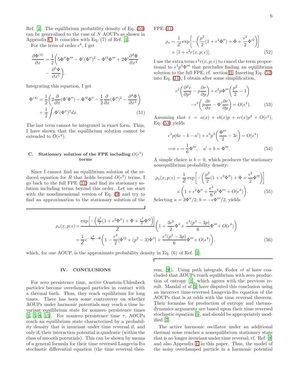Ref. [\[1\]](#page-13-0). The equilibrium probability density of Eq. [\(50\)](#page-5-4) can be generalized to the case of N AOUPs as shown in Appendix [C.](#page-8-0) It coincides with Eq. (7) of Ref. [\[1\]](#page-13-0).

For the term of order  $\epsilon^4$ , I get

$$
\frac{\partial \Phi^{(4)}}{\partial x} = \frac{1}{2} \left( 5 \Phi'' \Phi''' - \Phi' (\Phi'')^2 - \Phi'^2 \Phi''' + 2 \Phi' \frac{\partial^4 \Phi}{\partial x^4} - \frac{\partial^5 \Phi}{\partial x^5} \right).
$$

Integrating this equation, I get

$$
\Phi^{(4)} = \frac{1}{2} \left( 2 \frac{\partial}{\partial x} (\Phi' \Phi'') - \Phi'^2 \Phi'' - \frac{1}{2} \frac{\partial}{\partial x} (\Phi'')^2 - \frac{\partial^4 \Phi}{\partial x^4} \right) \n+ \frac{1}{2} \int \Phi' (\Phi'')^2 dx.
$$
\n(51)

The last term cannot be integrated in exact form. Thus, I have shown that the equilibrium solution cannot be extended to  $O(\epsilon^4)$ .

# C. Stationary solution of the FPE including  $O(\epsilon^3)$ terms

Since I cannot find an equilibrium solution of the reduced equation for R that holds beyond  $O(\epsilon^2)$  terms, I go back to the full FPE [\(11\)](#page-3-3) and find its stationary solution including terms beyond this order. Let me start with the nondimensional version of Eq. [\(9\)](#page-2-5) and try to find an approximation to the stationary solution of the FPE [\(11\)](#page-3-3).

<span id="page-6-1"></span>
$$
\rho_s = \frac{1}{Z} \exp\left[ -\left( \frac{p^2}{2} (1 + \epsilon^2 \Phi'') + \Phi + \frac{\epsilon^2}{2} \Phi'^2 \right) \right]
$$
  
 
$$
\times [1 + \epsilon^2 r(x, p; \epsilon)]. \tag{52}
$$

I use the extra term  $\epsilon^2 r(x, p; \epsilon)$  to cancel the term proportional to  $\epsilon^3 p^3 \Phi'''$  that precludes finding an equilibrium solution to the full FPE, cf. section [II.](#page-2-0) Inserting Eq. [\(52\)](#page-6-1) into Eq. [\(11\)](#page-3-3), I obtain after some simplification,

<span id="page-6-2"></span>
$$
\epsilon^2 \left( \frac{\partial^2 r}{\partial p^2} - p \frac{\partial r}{\partial p} \right) + \epsilon^3 p \Phi''' \left( \frac{p^2}{2} - 1 \right)
$$

$$
- \epsilon^3 \left( p \frac{\partial r}{\partial x} - \Phi' \frac{\partial r}{\partial p} \right) = O(\epsilon^4). \tag{53}
$$

Assuming that  $r = a(x) + \epsilon b(x)p + \epsilon c(x)p^3 + O(\epsilon^2)$ , Eq. [\(53\)](#page-6-2) yields

$$
\epsilon^3 p (6c - b - a') + \epsilon^3 p^3 \left(\frac{\Phi'''}{2} - 3c\right) = O(\epsilon^4)
$$
  

$$
\implies c = \frac{1}{6} \Phi''', \quad a' + b = \Phi'''. \tag{54}
$$

A simple choice is  $b = 0$ , which produces the stationary nonequilibrium probability density:

$$
\rho_s(x, p; \epsilon) = \frac{1}{Z} \exp\left[ -\left(\frac{p^2}{2} (1 + \epsilon^2 \Phi'') + \Phi + \frac{\epsilon^2}{2} \Phi'^2\right) \right]
$$

$$
\times \left(1 + \epsilon^2 \Phi'' + \frac{\epsilon^3}{6} p^3 \Phi''' + O(\epsilon^4)\right).
$$
(55)  
\nSelecting  $a = 3\Phi''/2$ ,  $b = -\epsilon \Phi'''/2$ , yields

Selecting  $a = \hat{3}\Phi''/2$ ,  $b = -\epsilon\Phi$ 

$$
\rho_s(x, p; \epsilon) = \frac{\exp\left[-\left(\frac{p^2}{2}(1 + \epsilon^2 \Phi'') + \Phi + \frac{\epsilon^2}{2}\Phi'^2\right)\right]}{Z} \left(1 + \frac{3\epsilon^2}{2}\Phi'' + \frac{\epsilon^3(p^3 - 3p)}{6}\Phi''' + O(\epsilon^4)\right)
$$

$$
= \frac{1}{Z}e^{-\frac{p^2}{2}-\Phi}\left(1 - \frac{\epsilon^2}{2}[\Phi'^2 + (p^2 - 3)\Phi''] + \frac{\epsilon^3(p^3 - 3p)}{6}\Phi''' + O(\epsilon^4)\right),\tag{56}
$$

Г

which, for one AOUP, is the approximate probability density in Eq.  $(6)$  of Ref. [\[1](#page-13-0)].

### <span id="page-6-0"></span>IV. CONCLUSIONS

For zero persistence time, active Ornstein-Uhlenbeck particles become overdamped particles in contact with a thermal bath. Thus, they reach equilibrium for long times. There has been some controversy on whether AOUPs under harmonic potentials may reach a time invariant equilibrium state for nonzero persistence times [\[1,](#page-13-0) [5](#page-13-3)[–8,](#page-13-6) [15](#page-13-15)]. For nonzero persistence time  $\tau$ , AOUPs reach an equilibrium state characterized by a probability density that is invariant under time reversal if, and only if, their interaction potential is quadratic (within the class of smooth potentials). This can be shown by means of a general formula for their time reversed Langevin-Ito stochastic differential equation (the time reversal theorem, [\[9](#page-13-7)]). Using path integrals, Fodor et al have concluded that AOUPs reach equilibrium with zero production of entropy [\[1](#page-13-0)], which agrees with the previous result. Mandal *et al* [\[5\]](#page-13-3) have disputed this conclusion using an incorrect time-reversed Langevin-Ito equation of the AOUPs that is at odds with the time reversal theorem. Their formulas for production of entropy and thermodynamics arguments are based upon their time reversed stochastic equation [\[5](#page-13-3)], and should be appropriately modified [\[7](#page-13-5)].

The active harmonic oscillator under an additional thermal noise reaches a nonequilibrium stationary state that is no longer invariant under time reversal, cf. Ref. [\[8](#page-13-6)] and also Appendix [E](#page-12-1) in this paper. Thus, the model of the noisy overdamped particle in a harmonic potential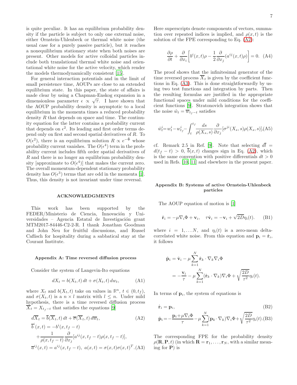is quite peculiar. It has an equilibrium probability density if the particle is subject to only one external noise, either Ornstein-Uhlenbeck or thermal white noise (the usual case for a purely passive particle), but it reaches a nonequilibrium stationary state when both noises are present. Other models for active colloidal particles include both translational thermal white noise and orientational white noise for the active velocity, which render the models thermodynamically consistent [\[15\]](#page-13-15).

For general interaction potentials and in the limit of small persistence time, AOUPs are close to an extended equilibrium state. In this paper, the state of affairs is made clear by using a Chapman-Enskog expansion in a dimensionless parameter  $\epsilon \propto \sqrt{\tau}$ . I have shown that the AOUP probability density is asymptotic to a local equilibrium in the momenta times a reduced probability density  $R$  that depends on space and time. The continuity equation for the latter contains a probability current that depends on  $\epsilon^2$ . Its leading and first order terms depend only on first and second spatial derivatives of R. To  $O(\epsilon^2)$ , there is an equilibrium solution  $R \propto e^{-\tilde{\Phi}}$  whose probability current vanishes. The  $O(\epsilon^4)$  term in the probability current includes fifth order spatial derivatives of R and there is no longer an equilibrium probability density [approximate to  $O(\epsilon^4)$ ] that makes the current zero. The overall momentum-dependent stationary probability density has  $O(\epsilon^3)$  terms that are odd in the momenta [\[1\]](#page-13-0). Thus, this density is not invariant under time reversal.

### ACKNOWLEDGMENTS

This work has been supported by the FEDER/Ministerio de Ciencia, Innovación y Universidades – Agencia Estatal de Investigación grant MTM2017-84446-C2-2-R. I thank Jonathan Goodman and John Neu for fruitful discussions, and Russel Caflisch for hospitality during a sabbatical stay at the Courant Institute.

#### <span id="page-7-0"></span>Appendix A: Time reversed diffusion process

Consider the system of Langevin-Ito equations

$$
dX_t = b(X_t, t) dt + \sigma(X_t, t) dw_t,
$$
 (A1)

where  $X_t$  and  $b(X_t, t)$  take on values in  $\mathbb{R}^n$ ,  $t \in (0, t_f)$ , and  $\sigma(X_t, t)$  is a  $n \times l$  matrix with  $l \leq n$ . Under mild hypothesis, there is a time reversed diffusion process  $\overline{X}_t = X_{t-1}$  that satisfies the equations [\[9\]](#page-13-7)

<span id="page-7-2"></span>
$$
d\overline{X}_t = \overline{b}(\overline{X}_t, t) dt + \overline{\sigma}(\overline{X}_t, t) d\overline{w}_t,
$$
 (A2)

$$
\overline{b}^i(x,t) = -b^i(x, t_f - t)
$$
  
+ 
$$
\frac{1}{\rho(x, t_f - t)} \frac{\partial}{\partial x_j} [a^{ij}(x, t_f - t)\rho(x, t_f - t)],
$$
  

$$
\overline{a}^{ij}(x,t) = a^{ij}(x, t_f - t), \ a(x,t) = \sigma(x,t)\sigma(x,t)^T.
$$
 (A3)

Here superscripts denote components of vectors, summation over repeated indices is implied, and  $\rho(x, t)$  is the solution of the FPE corresponding to Eq. [\(A2\)](#page-7-2):

<span id="page-7-3"></span>
$$
\frac{\partial \rho}{\partial t} + \frac{\partial}{\partial x_i} \left[ b^i(x, t) \rho - \frac{1}{2} \frac{\partial}{\partial x_j} (a^{ij}(x, t) \rho) \right] = 0. \quad (A4)
$$

The proof shows that the infinitesimal generator of the time reversed process  $\overline{X}_t$  is given by the coefficient functions in Eq. [\(A3\)](#page-7-2). This is done straightforwardly by using two test functions and integration by parts. Then the resulting formulas are justified in the appropriate functional spaces under mild conditions for the coefficient functions [\[9\]](#page-13-7). Stratonovich integration shows that the noise  $\hat{w}_t = \overline{w}_{t_f-t}$  satisfies

$$
\hat{w}_t^i = w_t^i - w_{t_f}^i - \int_t^{t_f} \frac{ds}{\rho(X_s, s)} \frac{\partial}{\partial x_j} [\sigma^{ji}(X_s, s)\rho(X_s, s)], \text{(A5)}
$$

cf. Remark 2.5 in Ref. [\[9\]](#page-13-7). Note that selecting  $d\overline{t}$  =  $d(t_f - t) > 0$ ,  $\overline{b}(x, t)$  changes sign in Eq. [\(A2\)](#page-7-2), which is the same convention with positive differentials  $dt > 0$ used in Refs. [\[10,](#page-13-8) [11\]](#page-13-9) and elsewhere in the present paper.

### <span id="page-7-1"></span>Appendix B: Systems of active Ornstein-Uhlenbeck particles

The AOUP equation of motion is [\[1\]](#page-13-0)

$$
\dot{\mathbf{r}}_i = -\mu \nabla_i \Phi + \mathbf{v}_i, \quad \tau \dot{\mathbf{v}}_i = -\mathbf{v}_i + \sqrt{2D} \eta_i(t). \tag{B1}
$$

where  $i = 1, \ldots N$ , and  $\eta_i(t)$  is a zero-mean deltacorrelated white noise. From this equation and  $\mathbf{p}_i = \dot{\mathbf{r}}_i$ , it follows

$$
\dot{\mathbf{p}}_i = \dot{\mathbf{v}}_i - \mu \sum_{k=1}^N \dot{\mathbf{r}}_k \cdot \nabla_k \nabla_i \Phi
$$
  
=  $-\frac{\mathbf{v}_i}{\tau} - \mu \sum_{k=1}^N (\dot{\mathbf{r}}_k \cdot \nabla_k) \nabla_i \Phi + \sqrt{\frac{2D}{\tau^2}} \eta_i(t).$ 

In terms of  $\mathbf{p}_i$ , the system of equations is

<span id="page-7-4"></span>
$$
\dot{\mathbf{r}}_i = \mathbf{p}_i,
$$
\n
$$
\dot{\mathbf{p}}_i = -\frac{\mathbf{p}_i + \mu \nabla_i \Phi}{\tau} - \mu \sum_{k=1}^N (\mathbf{p}_k \cdot \nabla_k) \nabla_i \Phi + \sqrt{\frac{2D}{\tau^2}} \eta_i(t).
$$
\n(B2)

The corresponding FPE for the probability density  $\rho(\mathbf{R}, \mathbf{P}, t)$  (in which  $\mathbf{R} = \mathbf{r}_1, \dots, \mathbf{r}_N$ , with a similar meaning for  $P$ ) is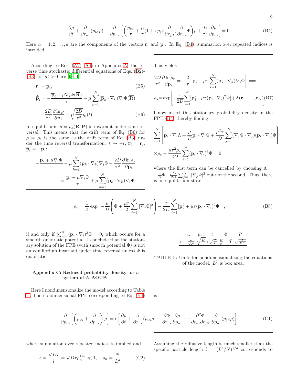<span id="page-8-1"></span>
$$
\frac{\partial \rho}{\partial t} + \frac{\partial}{\partial r_{i\alpha}} (p_{i\alpha}\rho) - \frac{\partial}{\partial p_{i\alpha}} \left[ \left( \frac{p_{i\alpha}}{\tau} + \frac{\mu}{\tau} (1 + \tau p_{j\beta} \frac{\partial}{\partial r_{j\beta}}) \frac{\partial}{\partial r_{i\alpha}} \Phi \right) \rho + \frac{D}{\tau^2} \frac{\partial \rho}{\partial p_{i\alpha}} \right] = 0. \tag{B4}
$$

Here  $\alpha = 1, 2, \ldots, d$  are the components of the vectors  $\mathbf{r}_i$  and  $\mathbf{p}_i$ . In Eq. [\(B4\)](#page-8-1), summation over repeated indices is intended.  $\overline{\Gamma}$ 

According to Eqs.  $(A2)-(A4)$  $(A2)-(A4)$  in Appendix [A,](#page-7-0) the reverse time stochastic differential equations of Eqs. [\(B2\)](#page-7-4)- [\(B3\)](#page-7-4) for  $dt > 0$  are [\[9](#page-13-7)-11]

<span id="page-8-2"></span>
$$
\dot{\overline{\mathbf{r}}}_i = \overline{\mathbf{p}}_i,\tag{B5}
$$

$$
\dot{\overline{\mathbf{p}}}_{i} = -\frac{\overline{\mathbf{p}}_{i} + \mu \nabla_{i} \Phi(\overline{\mathbf{R}})}{\tau} - \mu \sum_{k=1}^{N} (\overline{\mathbf{p}}_{k} \cdot \nabla_{k}) \nabla_{i} \Phi(\overline{\mathbf{R}})
$$

$$
-\frac{2D}{\tau^{2}} \frac{\partial \ln \rho}{\partial \mathbf{p}_{i}} + \sqrt{\frac{2D}{\tau^{2}}} \eta_{i}(t). \tag{B6}
$$

In equilibrium,  $\rho = \rho_s(\mathbf{R}, \mathbf{P})$  is invariant under time reversal. This means that the drift term of Eq. [\(B6\)](#page-8-2) for  $\rho = \rho_s$  is the same as the drift term of Eq. [\(B3\)](#page-7-4) under the time reversal transformation:  $t \to -t$ ,  $\bar{r}_i = r_i$ ,  $\overline{\mathbf{p}}_i = -\mathbf{p}_i$ :

$$
-\frac{\mathbf{p}_i + \mu \nabla_i \Phi}{\tau} - \mu \sum_{k=1}^N (\mathbf{p}_k \cdot \nabla_k) \nabla_i \Phi - \frac{2D}{\tau^2} \frac{\partial \ln \rho_s}{\partial \mathbf{p}_i}
$$

$$
= \frac{\mathbf{p}_i - \mu \nabla_i \Phi}{\tau} + \mu \sum_{k=1}^N (\mathbf{p}_k \cdot \nabla_k) \nabla_i \Phi.
$$

This yields

$$
\frac{2D}{\tau^2} \frac{\partial \ln \rho_s}{\partial \mathbf{p}_i} = -\frac{2}{\tau} \left[ \mathbf{p}_i + \mu \tau \sum_{k=1}^N (\mathbf{p}_k \cdot \nabla_k) \nabla_i \Phi \right] \Longrightarrow
$$

$$
\rho_s = \exp \left[ -\frac{\tau}{2D} \sum_{i=1}^N [\mathbf{p}_i^2 + \mu \tau (\mathbf{p}_i \cdot \nabla_i)^2 \Phi] + \Lambda (\mathbf{r}_1, \dots, \mathbf{r}_N) \right]
$$
(B7)

I now insert this stationary probability density in the FPE [\(B4\)](#page-8-1) thereby finding

$$
\sum_{i=1}^{N} \left[ \mathbf{p}_i \cdot \nabla_i \Lambda + \frac{\mu}{D} \mathbf{p}_i \cdot \nabla_i \Phi + \frac{\mu^2 \tau}{D} \sum_{j=1}^{N} (\nabla_j \Phi \cdot \nabla_j) (\mathbf{p}_i \cdot \nabla_i) \Phi \right]
$$
  
 
$$
\times \rho_s - \frac{\mu \tau^2 \rho_s}{2D} \sum_{i=1}^{N} (\mathbf{p}_i \cdot \nabla_i)^3 \Phi = 0,
$$

where the first term can be cancelled by choosing  $\Lambda =$  $-\frac{\mu}{D}\Phi - \frac{\mu^2\tau}{2D}\sum_{j=1}^N|\nabla_j\Phi|^2$  but not the second. Thus, there is an equilibrium state

$$
\rho_s = \frac{1}{Z} \exp\left[-\frac{\mu}{D} \left(\Phi + \frac{\mu\tau}{2} \sum_{j=1}^N |\nabla_j \Phi|^2\right) - \frac{\tau}{2D} \sum_{i=1}^N [\mathbf{p}_i^2 + \mu\tau (\mathbf{p}_i \cdot \nabla_i)^2 \Phi]\right],\tag{B8}
$$

if and only if  $\sum_{i=1}^{N} (\mathbf{p}_i \cdot \nabla_i)^3 \Phi = 0$ , which occurs for a smooth quadratic potential. I conclude that the stationary solution of the FPE (with smooth potential  $\Phi$ ) is not an equilibrium invariant under time reversal unless  $\Phi$  is quadratic.

$$
r_{i\alpha} \t p_{i\alpha} \t t \t \Phi \t P
$$

$$
l = \frac{L}{\sqrt{N}} \sqrt{\frac{D}{\tau}} l \sqrt{\frac{\tau}{D}} \frac{D}{\mu} = T \sqrt{\frac{\tau}{Dl^2}}
$$

TABLE II: Units for nondimensionalizing the equations of the model.  $L^2$  is box area.

### <span id="page-8-0"></span>Appendix C: Reduced probability density for a system of N AOUPs

Here I nondimensionalize the model according to Table [II.](#page-8-3) The nondimensional FPE corresponding to Eq. [\(B4\)](#page-8-1)

<span id="page-8-4"></span>
$$
\frac{\partial}{\partial p_{i\alpha}} \left[ \left( p_{i\alpha} + \frac{\partial}{\partial p_{i\alpha}} \right) \rho \right] = \epsilon \left[ \frac{\partial \rho}{\partial t} + \frac{\partial}{\partial r_{i\alpha}} (p_{i\alpha} \rho) - \frac{\partial \Phi}{\partial r_{i\alpha}} \frac{\partial \rho}{\partial p_{i\alpha}} - \epsilon \frac{\partial^2 \Phi}{\partial r_{i\alpha} \partial r_{j\beta}} \frac{\partial}{\partial p_{i\alpha}} (p_{j\beta} \rho) \right],
$$
(C1)

where summation over repeated indices is implied and

$$
\epsilon = \frac{\sqrt{D\tau}}{l} = \sqrt{D\tau} \rho_n^{1/d} \ll 1, \quad \rho_n = \frac{N}{L^d}.
$$
 (C2)

Assuming the diffusive length is much smaller than the specific particle length  $l = (L^d/N)^{1/d}$  corresponds to

is

<span id="page-8-3"></span>Г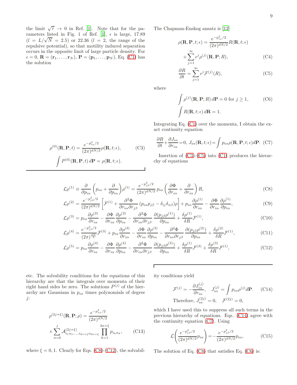the limit  $\sqrt{\tau} \to 0$  in Ref. [\[1](#page-13-0)]. Note that for the pa-rameters listed in Fig. 1 of Ref. [\[1\]](#page-13-0),  $\epsilon$  is large, 17.89  $(l = L/\sqrt{N} = 2.5)$  or 22.36  $(l = 2,$  the range of the repulsive potential), so that motility induced separation occurs in the opposite limit of large particle density. For  $\epsilon = 0, \, \mathbf{R} = (\mathbf{r}_1, \ldots, \mathbf{r}_N), \, \mathbf{P} = (\mathbf{p}_1, \ldots, \mathbf{p}_N), \, \text{Eq. (C1) has}$  $\epsilon = 0, \, \mathbf{R} = (\mathbf{r}_1, \ldots, \mathbf{r}_N), \, \mathbf{P} = (\mathbf{p}_1, \ldots, \mathbf{p}_N), \, \text{Eq. (C1) has}$  $\epsilon = 0, \, \mathbf{R} = (\mathbf{r}_1, \ldots, \mathbf{r}_N), \, \mathbf{P} = (\mathbf{p}_1, \ldots, \mathbf{p}_N), \, \text{Eq. (C1) has}$ the solution

The Chapman-Enskog ansatz is [\[12](#page-13-10)]

<span id="page-9-1"></span>
$$
\rho(\mathbf{R}, \mathbf{P}, t; \epsilon) = \frac{e^{-p_{i\alpha}^2/2}}{(2\pi)^{dN/2}} R(\mathbf{R}, t; \epsilon)
$$

$$
+ \sum_{j=1}^{\infty} \epsilon^j \rho^{(j)}(\mathbf{R}, \mathbf{P}; R), \qquad (C4)
$$

$$
\frac{\partial R}{\partial t} = \sum_{j=1}^{\infty} \epsilon^j \mathcal{F}^{(j)}(R),\tag{C5}
$$

where

<span id="page-9-5"></span>
$$
\int \rho^{(j)}(\mathbf{R}, \mathbf{P}; R) d\mathbf{P} = 0 \text{ for } j \ge 1,
$$
 (C6)  

$$
\int R(\mathbf{R}, t; \epsilon) d\mathbf{R} = 1.
$$

Integrating Eq. [\(C1\)](#page-8-4) over the momenta, I obtain the exact continuity equation

<span id="page-9-4"></span>
$$
\frac{\partial R}{\partial t} + \frac{\partial J_{i\alpha}}{\partial r_{i\alpha}} = 0, J_{i\alpha}(\mathbf{R}, t; \epsilon) = \int p_{i\alpha} \rho(\mathbf{R}, \mathbf{P}, t; \epsilon) d\mathbf{P}.
$$
 (C7)

Insertion of  $(C3)-(C5)$  $(C3)-(C5)$  into  $(C1)$  produces the hierarchy of equations

<span id="page-9-2"></span>
$$
\mathcal{L}\rho^{(1)} \equiv \frac{\partial}{\partial p_{i\alpha}} \left( p_{i\alpha} + \frac{\partial}{\partial p_{i\alpha}} \right) \rho^{(1)} = \frac{e^{-p_{j\beta}^2/2}}{(2\pi)^{dN/2}} p_{i\alpha} \left( \frac{\partial \Phi}{\partial r_{i\alpha}} + \frac{\partial}{\partial r_{i\alpha}} \right) R,\tag{C8}
$$

$$
\mathcal{L}\rho^{(2)} = \frac{e^{-p_{j\beta}^2/2}}{(2\pi)^{dN/2}} \left[ \mathcal{F}^{(1)} + \frac{\partial^2 \Phi}{\partial r_{i\alpha}\partial r_{j\beta}} \left( p_{i\alpha} p_{j\beta} - \delta_{ij}\delta_{\alpha\beta} \right) \rho \right] + p_{i\alpha} \frac{\partial \rho^{(1)}}{\partial r_{i\alpha}} - \frac{\partial \Phi}{\partial r_{i\alpha}} \frac{\partial \rho^{(1)}}{\partial p_{i\alpha}},\tag{C9}
$$

$$
\mathcal{L}\rho^{(3)} = p_{i\alpha} \frac{\partial \rho^{(2)}}{\partial r_{i\alpha}} - \frac{\partial \Phi}{\partial r_{i\alpha}} \frac{\partial \rho^{(2)}}{\partial p_{i\alpha}} - \frac{\partial^2 \Phi}{\partial r_{i\alpha} \partial r_{j\beta}} \frac{\partial (p_{j\beta} \rho^{(1)})}{\partial p_{i\alpha}} + \frac{\delta \rho^{(1)}}{\delta R} \mathcal{F}^{(1)},\tag{C10}
$$

$$
\mathcal{L}\rho^{(4)} = \frac{e^{-p_{j\beta}^2/2}}{(2\pi)^{\frac{dN}{2}}}\mathcal{F}^{(3)} + p_{i\alpha}\frac{\partial\rho^{(3)}}{\partial r_{i\alpha}} - \frac{\partial\Phi}{\partial r_{i\alpha}}\frac{\partial\rho^{(3)}}{\partial p_{i\alpha}} - \frac{\partial^2\Phi}{\partial r_{i\alpha}\partial r_{j\beta}}\frac{\partial(p_{j\beta}\rho^{(2)})}{\partial p_{i\alpha}} + \frac{\delta\rho^{(2)}}{\delta R}\mathcal{F}^{(1)},\tag{C11}
$$

$$
\mathcal{L}\rho^{(5)} = p_{i\alpha} \frac{\partial \rho^{(4)}}{\partial r_{i\alpha}} - \frac{\partial \Phi}{\partial r_{i\alpha}} \frac{\partial \rho^{(4)}}{\partial p_{i\alpha}} - \frac{\partial^2 \Phi}{\partial r_{i\alpha} \partial r_{j\beta}} \frac{\partial (p_{j\beta} \rho^{(3)})}{\partial p_{i\alpha}} + \frac{\delta \rho^{(1)}}{\delta R} \mathcal{F}^{(3)} + \frac{\delta \rho^{(3)}}{\delta R} \mathcal{F}^{(1)},
$$
(C12)

Г

etc. The solvability conditions for the equations of this hierarchy are that the integrals over momenta of their right hand sides be zero. The solutions  $P^{(j)}$  of the hierarchy are Gaussians in  $p_{i\alpha}$  times polynomials of degree j:

<span id="page-9-6"></span>
$$
\rho^{(2j+\xi)}(\mathbf{R}, \mathbf{P}; \rho) = \frac{e^{-p_{z\omega}^2/2}}{(2\pi)^{dN/2}} \times \sum_{n=0}^j \mathcal{A}_{i_1\alpha_1, ..., i_{2n+\xi}\alpha_{2n+\xi}}^{(2j+\xi)} \prod_{k=1}^{2n+\xi} p_{i_k\alpha_k},
$$
(C13)

where  $\xi = 0, 1$ . Clearly for Eqs. [\(C8\)](#page-9-2)-[\(C12\)](#page-9-2), the solvabil-

ity conditions yield

<span id="page-9-3"></span>
$$
\mathcal{F}^{(j)} = -\frac{\partial J_{i\alpha}^{(j)}}{\partial r_{i\alpha}}, \quad J_{i\alpha}^{(j)} = \int p_{i\alpha} \rho^{(j)} d\mathbf{P}.
$$
 (C14)  
Therefore,  $J_{i\alpha}^{(2j)} = 0$ ,  $\mathcal{F}^{(2j)} = 0$ ,

which I have used this to suppress all such terms in the previous hierarchy of equations. Eqs. [\(C14\)](#page-9-3) agree with the continuity equation [\(C7\)](#page-9-4). Using

$$
\mathcal{L}\left(\frac{e^{-p_{j\beta}^2/2}}{(2\pi)^{dN/2}}p_{i\alpha}\right) = -\frac{e^{-p_{j\beta}^2/2}}{(2\pi)^{dN/2}}p_{i\alpha},
$$
(C15)

The solution of Eq. [\(C8\)](#page-9-2) that satisfies Eq. [\(C6\)](#page-9-5) is:

<span id="page-9-0"></span> $\rho^{(0)}({\bf R},{\bf P},t) = \frac{e^{-p_{i\alpha}^2/2}}{(2\pi)^{dN/2}}$  $\frac{c}{(2\pi)^{dN/2}} \rho(\mathbf{R}, t; \epsilon),$  (C3)  $\int P^{(0)}(\mathbf{R}, \mathbf{P}, t) d\mathbf{P} = \rho(\mathbf{R}, t; \epsilon).$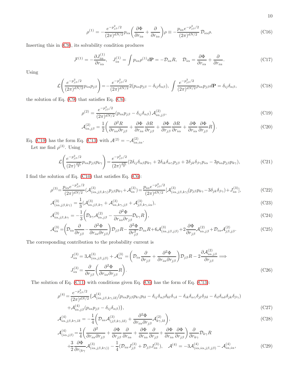$$
10\quad
$$

<span id="page-10-1"></span>
$$
\rho^{(1)} = -\frac{e^{-p_{j\beta}^2/2}}{(2\pi)^{dN/2}} p_{i\alpha} \left( \frac{\partial \Phi}{\partial r_{i\alpha}} + \frac{\partial}{\partial r_{i\alpha}} \right) \rho \equiv -\frac{p_{i\alpha} e^{-p_{j\beta}^2/2}}{(2\pi)^{dN/2}} \mathcal{D}_{i\alpha} \rho.
$$
\n(C16)

Inserting this in [\(C9\)](#page-9-2), its solvability condition produces

<span id="page-10-4"></span>
$$
\mathcal{F}^{(1)} = -\frac{\partial J_{i\alpha}^{(1)}}{\partial r_{i\alpha}}, \quad J_{i\alpha}^{(1)} = \int p_{i\alpha} \rho^{(1)} d\mathbf{P} = -\mathcal{D}_{i\alpha} R, \quad \mathcal{D}_{i\alpha} = \frac{\partial \Phi}{\partial r_{i\alpha}} + \frac{\partial}{\partial r_{i\alpha}}.
$$
 (C17)

Using

$$
\mathcal{L}\left(\frac{e^{-p_{j\beta}^2/2}}{(2\pi)^{dN/2}}p_{i\alpha}p_{j\beta}\right) = -\frac{e^{-p_{j\beta}^2/2}}{(2\pi)^{dN/2}}2(p_{i\alpha}p_{j\beta} - \delta_{ij}\delta_{\alpha\beta}), \int \frac{e^{-p_{j\beta}^2/2}}{(2\pi)^{dN/2}}p_{i\alpha}p_{j\beta}d\mathbf{P} = \delta_{ij}\delta_{\alpha\beta},
$$
\n(C18)

the solution of Eq. [\(C9\)](#page-9-2) that satisfies Eq. [\(C6\)](#page-9-5):

<span id="page-10-0"></span>
$$
\rho^{(2)} = \frac{e^{-p_{j\beta}^2/2}}{(2\pi)^{dN/2}} (p_{i\alpha}p_{j\beta} - \delta_{ij}\delta_{\alpha\beta}) \mathcal{A}_{i\alpha,j\beta}^{(2)},
$$
\n(C19)

$$
\mathcal{A}_{i\alpha,j\beta}^{(2)} = \frac{1}{2} \left( \frac{\partial^2 R}{\partial r_{i\alpha} \partial r_{j\beta}} + \frac{\partial \Phi}{\partial r_{i\alpha}} \frac{\partial R}{\partial r_{j\beta}} + \frac{\partial \Phi}{\partial r_{j\beta}} \frac{\partial R}{\partial r_{i\alpha}} + \frac{\partial \Phi}{\partial r_{i\alpha}} \frac{\partial \Phi}{\partial r_{j\beta}} R \right).
$$
(C20)

Eq. [\(C19\)](#page-10-0) has the form Eq. [\(C13\)](#page-9-6) with  $\mathcal{A}^{(2)} = -\mathcal{A}_{i\alpha,i\alpha}^{(2)}$ .

Let me find  $\rho^{(3)}$ . Using

$$
\mathcal{L}\left(\frac{e^{-p_{j\beta}^2/2}}{(2\pi)^{\frac{dN}{2}}p_{i\alpha}p_{j\beta}p_{k\gamma}}\right) = \frac{e^{-p_{j\beta}^2/2}}{(2\pi)^{\frac{dN}{2}}}(2\delta_{ij}\delta_{\alpha\beta}p_{k\gamma} + 2\delta_{ik}\delta_{\alpha\gamma}p_{j\beta} + 2\delta_{jk}\delta_{\beta\gamma}p_{i\alpha} - 3p_{i\alpha}p_{j\beta}p_{k\gamma}),
$$
(C21)

I find the solution of Eq. [\(C10\)](#page-9-2) that satisfies Eq. [\(C6\)](#page-9-5):

<span id="page-10-2"></span>
$$
\rho^{(3)} = \frac{p_{i\alpha}e^{-p_{j\beta}^2/2}}{(2\pi)^{dN/2}} (\mathcal{A}_{(i\alpha,j\beta,k\gamma)}^{(3)} p_{j\beta} p_{k\gamma} + \mathcal{A}_{i\alpha}^{(3)}) = \frac{p_{i\alpha}e^{-p_{j\beta}^2/2}}{(2\pi)^{dN/2}} [\mathcal{A}_{(i\alpha,j\beta,k\gamma)}^{(3)} (p_{j\beta} p_{k\gamma} - 3\delta_{jk}\delta_{\beta\gamma}) + J_{i\alpha}^{(3)}],
$$
\n(C22)

$$
\mathcal{A}^{(3)}_{(i\alpha,j\beta,k\gamma)} = \frac{1}{3} (\mathcal{A}^{(3)}_{i\alpha,j\beta,k\gamma} + \mathcal{A}^{(3)}_{i\alpha,k\gamma,j\beta} + \mathcal{A}^{(3)}_{j\beta,k\gamma,i\alpha}),
$$
\n(C23)

$$
\mathcal{A}^{(3)}_{i\alpha,j\beta,k\gamma} = -\frac{1}{3} \left( \mathcal{D}_{k\gamma} \mathcal{A}^{(2)}_{i\alpha,j\beta} - \frac{\partial^2 \Phi}{\partial r_{i\alpha} \partial r_{j\beta}} \mathcal{D}_{k\gamma} R \right),\tag{C24}
$$

$$
\mathcal{A}_{i\alpha}^{(3)} = \left(\mathcal{D}_{i\alpha}\frac{\partial}{\partial r_{j\beta}} - \frac{\partial^2 \Phi}{\partial r_{i\alpha}\partial r_{j\beta}}\right)\mathcal{D}_{j\beta}R - \frac{\partial^2 \Phi}{\partial r_{j\beta}^2}\mathcal{D}_{i\alpha}R + 6\mathcal{A}_{(i\alpha,j\beta,j\beta)}^{(3)} + 2\frac{\partial \Phi}{\partial r_{j\beta}}\mathcal{A}_{i\alpha,j\beta}^{(2)} + \mathcal{D}_{i\alpha}\mathcal{A}_{j\beta,j\beta}^{(2)}.
$$
 (C25)

The corresponding contribution to the probability current is

$$
J_{i\alpha}^{(3)} = 3\mathcal{A}_{(i\alpha,j\beta,j\beta)}^{(3)} + \mathcal{A}_{i\alpha}^{(3)} = \left(\mathcal{D}_{i\alpha}\frac{\partial}{\partial r_{j\beta}} + \frac{\partial^2 \Phi}{\partial r_{i\alpha}\partial r_{j\beta}}\right)\mathcal{D}_{j\beta}R - 2\frac{\partial \mathcal{A}_{i\alpha,j\beta}^{(2)}}{\partial r_{j\beta}} \Longrightarrow
$$
  

$$
J_{i\alpha}^{(3)} = \frac{\partial}{\partial r_{j\beta}} \left(\frac{\partial^2 \Phi}{\partial r_{i\alpha}\partial r_{j\beta}}R\right).
$$
 (C26)

The solution of Eq. [\(C11\)](#page-9-2) with conditions given Eq. [\(C6\)](#page-9-5) has the form of Eq. [\(C13\)](#page-9-6):

<span id="page-10-3"></span>
$$
\rho^{(4)} = \frac{e^{-p_{j\beta}^2/2}}{(2\pi)^{dN/2}} \{ \mathcal{A}^{(4)}_{(i\alpha,j\beta,k\gamma,l\delta)}(p_{i\alpha}p_{j\beta}p_{k\gamma}p_{l\delta} - \delta_{ij}\delta_{\alpha\beta}\delta_{kl}\delta_{\gamma\delta} - \delta_{ik}\delta_{\alpha\gamma}\delta_{jl}\delta_{\beta\delta} - \delta_{il}\delta_{\alpha\delta}\delta_{jk}\delta_{\beta\gamma}) + \mathcal{A}^{(4)}_{i\alpha,j\beta}(p_{i\alpha}p_{j\beta} - \delta_{ij}\delta_{\alpha\beta}) \},
$$
\n(C27)

$$
\mathcal{A}^{(4)}_{i\alpha,j\beta,k\gamma,l\delta} = -\frac{1}{4} \bigg( \mathcal{D}_{i\alpha} \mathcal{A}^{(3)}_{(j\beta,k\gamma,l\delta)} + \frac{\partial^2 \Phi}{\partial r_{i\alpha} \partial r_{j\beta}} \mathcal{A}^{(2)}_{k\gamma,l\delta} \bigg),\tag{C28}
$$

$$
\mathcal{A}^{(4)}_{(i\alpha,j\beta)} = \frac{1}{4} \left( \frac{\partial^2}{\partial r_{i\alpha} \partial r_{j\beta}} + \frac{\partial \Phi}{\partial r_{j\beta}} \frac{\partial}{\partial r_{i\alpha}} + \frac{\partial \Phi}{\partial r_{i\alpha}} \frac{\partial}{\partial r_{j\beta}} + \frac{\partial \Phi}{\partial r_{i\alpha}} \frac{\partial \Phi}{\partial r_{j\beta}} \right) \frac{\partial}{\partial r_{k\gamma}} \mathcal{D}_{k\gamma} R
$$
  
+ 
$$
\frac{3}{2} \frac{\partial \Phi}{\partial r_{(k\gamma)}} \mathcal{A}^{(3)}_{(i\alpha,j\beta,k\gamma))} - \frac{1}{4} (\mathcal{D}_{i\alpha} J^{(3)}_{j\beta} + \mathcal{D}_{j\beta} J^{(3)}_{i\alpha}), \quad \mathcal{A}^{(4)} = -3 \mathcal{A}^{(4)}_{(i\alpha,i\alpha,j\beta,j\beta)} - \mathcal{A}^{(4)}_{i\alpha,i\alpha}, \tag{C29}
$$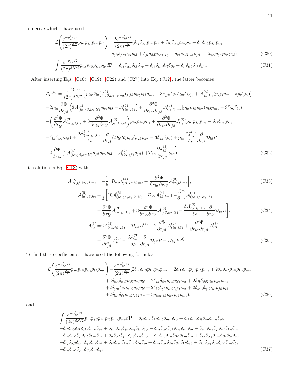to derive which I have used

$$
\mathcal{L}\left(\frac{e^{-p_{j\beta}^2/2}}{(2\pi)^{\frac{dN}{2}}p_{i\alpha}p_{j\beta}p_{k\gamma}p_{l\delta}}\right) = \frac{2e^{-p_{j\beta}^2/2}}{(2\pi)^{\frac{dN}{2}}}(\delta_{ij}\delta_{\alpha\beta}p_{k\gamma}p_{l\delta} + \delta_{ik}\delta_{\alpha\gamma}p_{j\beta}p_{l\delta} + \delta_{il}\delta_{\alpha\delta}p_{j\beta}p_{k\gamma} + \delta_{jl}\delta_{\beta\delta}p_{i\alpha}p_{l\delta} + \delta_{jl}\delta_{\beta\delta}p_{i\alpha}p_{k\gamma} + \delta_{kl}\delta_{\gamma\delta}p_{i\alpha}p_{j\beta} - 2p_{i\alpha}p_{j\beta}p_{k\gamma}p_{l\delta}),
$$
\n(C30)

$$
\int \frac{e^{-\rho_{j\beta}\gamma}}{(2\pi)^{dN/2}} p_{i\alpha} p_{j\beta} p_{k\gamma} p_{l\delta} d\mathbf{P} = \delta_{ij} \delta_{\alpha\beta} \delta_{kl} \delta_{\gamma\delta} + \delta_{ik} \delta_{\alpha\gamma} \delta_{jl} \delta_{\beta\delta} + \delta_{il} \delta_{\alpha\delta} \delta_{jk} \delta_{\beta\gamma}.
$$
\n(C31)

After inserting Eqs. [\(C16\)](#page-10-1), [\(C19\)](#page-10-0), [\(C22\)](#page-10-2) and [\(C27\)](#page-10-3) into Eq. [\(C12\)](#page-9-2), the latter becomes

$$
\mathcal{L}\rho^{(5)} = \frac{e^{-p_{j\beta}^2/2}}{(2\pi)^{dN/2}} \Big\{ p_{i\alpha} \mathcal{D}_{i\alpha} [\mathcal{A}_{j\beta,k\gamma,l\delta,m\epsilon}^{(4)}(p_{j\beta}p_{k\gamma}p_{l\delta}p_{m\epsilon} - 3\delta_{(jk}\delta_{\beta\gamma}\delta_{lm}\delta_{\delta\epsilon)}) + \mathcal{A}_{j\beta,k\gamma}^{(4)}(p_{j\beta}p_{k\gamma} - \delta_{jk}\delta_{\beta\gamma})] \n-2p_{i\alpha} \frac{\partial \Phi}{\partial r_{j\beta}} \Big( 2\mathcal{A}_{(i\alpha,j\beta,k\gamma,l\delta)}^{(4)} p_{k\gamma} p_{l\delta} + \mathcal{A}_{(i\alpha,j\beta)}^{(4)}) + \frac{\partial^2 \Phi}{\partial r_{i\alpha} \partial r_{j\beta}} \mathcal{A}_{k\gamma,l\delta,m\epsilon}^{(3)}[p_{i\alpha}p_{j\beta}p_{k\gamma}(p_{l\delta}p_{m\epsilon} - 3\delta_{lm}\delta_{\delta\epsilon})] \n- \left( \frac{\partial^2 \Phi}{\partial r_{l\delta}^2} \mathcal{A}_{i\alpha,j\beta,k\gamma}^{(3)} + 3 \frac{\partial^2 \Phi}{\partial r_{i\alpha} \partial r_{l\delta}} \mathcal{A}_{j\beta,k\gamma,l\delta}^{(3)} \right) p_{i\alpha} p_{j\beta} p_{k\gamma} + \frac{\partial^2 \Phi}{\partial r_{i\alpha} \partial r_{j\beta}} J_{k\gamma}^{(3)}(p_{i\alpha}p_{j\beta}p_{k\gamma} - \delta_{ij}\delta_{\alpha\beta}p_{k\gamma} \n- \delta_{ik}\delta_{\alpha\gamma}p_{j\beta}) + \frac{\delta \mathcal{A}_{(i\alpha,j\beta,k\gamma)}^{(3)}}{\delta \rho} \frac{\partial}{\partial r_{l\delta}} (\mathcal{D}_{l\delta}R) p_{i\alpha}(p_{j\beta}p_{k\gamma} - 3\delta_{jk}\delta_{\beta\gamma}) + p_{i\alpha} \frac{\delta J_{i\alpha}^{(3)}}{\delta \rho} \frac{\partial}{\partial r_{l\delta}} \mathcal{D}_{l\delta}R \n- 2 \frac{\partial \Phi}{\partial r_{i\alpha}} (2\mathcal{A}_{(i\alpha,j\beta,k\gamma,l\delta)}^{(4)}
$$

Its solution is Eq. [\(C13\)](#page-9-6) with

$$
\mathcal{A}_{i\alpha,j\beta,k\gamma,l\delta,m\epsilon}^{(5)} = -\frac{1}{5} \bigg[ \mathcal{D}_{i\alpha} \mathcal{A}_{j\beta,k\gamma,l\delta,m\epsilon}^{(4)} + \frac{\partial^2 \Phi}{\partial r_{i\alpha} \partial r_{j\beta}} \mathcal{A}_{k\gamma,l\delta,m\epsilon}^{(3)} \bigg],
$$
\n
$$
\mathcal{A}_{i\alpha,j\beta,k\gamma}^{(5)} = \frac{1}{3} \bigg[ 10 \mathcal{A}_{(i\alpha,j\beta,k\gamma,l\delta,l\delta)}^{(5)} - \mathcal{D}_{i\alpha} \mathcal{A}_{j\beta,k\gamma}^{(4)} + 4 \frac{\partial \Phi}{\partial r_{l\delta}} \mathcal{A}_{(i\alpha,j\beta,k\gamma,l\delta)}^{(4)} \bigg],
$$
\n
$$
+ \frac{\partial^2 \Phi}{\partial r_{l\delta}^2} \mathcal{A}_{i\alpha,j\beta,k\gamma}^{(3)} + 3 \frac{\partial^2 \Phi}{\partial r_{i\alpha} \partial r_{l\delta}} \mathcal{A}_{(j\beta,k\gamma,l\delta)}^{(3)} - \frac{\delta \mathcal{A}_{i\alpha,j\beta,k\gamma}^{(3)}}{\delta \rho} \frac{\partial}{\partial r_{l\delta}} \mathcal{D}_{l\delta} R \bigg],
$$
\n(C34)

$$
\mathcal{A}_{i\alpha}^{(5)} = 6\mathcal{A}_{(i\alpha,j\beta,j\beta)}^{(5)} - \mathcal{D}_{i\alpha}\mathcal{A}^{(4)} + 2\frac{\partial\Phi}{\partial r_{j\beta}}\mathcal{A}_{(i\alpha,j\beta)}^{(4)} + \frac{\partial^2\Phi}{\partial r_{i\alpha}\partial r_{j\beta}}\mathcal{A}_{j\beta}^{(3)} + \frac{\partial^2\Phi}{\partial r_{j\beta}^2}\mathcal{A}_{i\alpha}^{(3)} - \frac{\delta\mathcal{A}_{i\alpha}^{(3)}}{\delta\rho}\frac{\partial}{\partial r_{j\beta}}\mathcal{D}_{j\beta}R + \mathcal{D}_{i\alpha}\mathcal{F}^{(3)}.
$$
\n(C35)

To find these coefficients, I have used the following formulas:

$$
\mathcal{L}\left(\frac{e^{-p_{j\beta}^2/2}}{(2\pi)^{\frac{dN}{2}}p_{i\alpha}p_{j\beta}p_{k\gamma}p_{l\delta}p_{m\epsilon}}\right) = \frac{e^{-p_{j\beta}^2/2}}{(2\pi)^{\frac{dN}{2}}}(2\delta_{ij}\delta_{\alpha\beta}p_{k\gamma}p_{l\delta}p_{m\epsilon} + 2\delta_{ik}\delta_{\alpha\gamma}p_{j\beta}p_{l\delta}p_{m\epsilon} + 2\delta_{il}\delta_{\alpha\delta}p_{j\beta}p_{k\gamma}p_{m\epsilon} + 2\delta_{im}\delta_{\alpha\epsilon}p_{j\beta}p_{k\gamma}p_{l\delta} + 2\delta_{im}\delta_{\alpha\epsilon}p_{j\beta}p_{k\gamma}p_{l\delta} + 2\delta_{jk}\delta_{\beta\gamma}p_{i\alpha}p_{l\delta}p_{m\epsilon} + 2\delta_{jl}\delta_{\beta\delta}p_{i\alpha}p_{k\gamma}p_{m\epsilon} + 2\delta_{jm}\delta_{\beta\epsilon}p_{i\alpha}p_{k\gamma}p_{l\delta} + 2\delta_{km}\delta_{\gamma\epsilon}p_{i\alpha}p_{j\beta}p_{l\delta} + 2\delta_{lm}\delta_{\delta\epsilon}p_{i\alpha}p_{j\beta}p_{k\gamma} - 5p_{i\alpha}p_{j\beta}p_{k\gamma}p_{l\delta}p_{m\epsilon}, \tag{C36}
$$

and

$$
\int \frac{e^{-p_{j\beta}^2/2}}{(2\pi)^{dN/2}} p_{i\alpha} p_{j\beta} p_{k\gamma} p_{l\delta} p_{m\epsilon} p_{n\phi} d\mathbf{P} = \delta_{ij} \delta_{\alpha\beta} \delta_{kl} \delta_{\gamma\delta} \delta_{mn} \delta_{\epsilon\phi} + \delta_{ik} \delta_{\alpha\gamma} \delta_{jl} \delta_{\beta\delta} \delta_{mn} \delta_{\epsilon\phi} \n+ \delta_{il} \delta_{\alpha\delta} \delta_{jk} \delta_{\beta\gamma} \delta_{mn} \delta_{\epsilon\phi} + \delta_{im} \delta_{\alpha\epsilon} \delta_{jk} \delta_{\beta\gamma} \delta_{ln} \delta_{\delta\phi} + \delta_{in} \delta_{\alpha\phi} \delta_{jk} \delta_{\beta\gamma} \delta_{lm} \delta_{\delta\epsilon} + \delta_{im} \delta_{\alpha\epsilon} \delta_{jl} \delta_{\beta\delta} \delta_{kn} \delta_{\gamma\phi} \n+ \delta_{in} \delta_{\alpha\phi} \delta_{jl} \delta_{\beta\delta} \delta_{km} \delta_{\gamma\epsilon} + \delta_{il} \delta_{\alpha\delta} \delta_{jm} \delta_{\beta\epsilon} \delta_{kn} \delta_{\gamma\phi} + \delta_{il} \delta_{\alpha\delta} \delta_{jn} \delta_{\beta\phi} \delta_{km} \delta_{\gamma\epsilon} + \delta_{ik} \delta_{\alpha\gamma} \delta_{jm} \delta_{\beta\epsilon} \delta_{ln} \delta_{\delta\phi} \n+ \delta_{ij} \delta_{\alpha\beta} \delta_{km} \delta_{\gamma\epsilon} \delta_{ln} \delta_{\delta\phi} + \delta_{ij} \delta_{\alpha\beta} \delta_{kn} \delta_{\gamma\phi} \delta_{ln} \delta_{\epsilon\delta} + \delta_{im} \delta_{\alpha\epsilon} \delta_{jn} \delta_{\beta\phi} \delta_{kl} \delta_{\gamma\delta} + \delta_{ik} \delta_{\alpha\gamma} \delta_{jn} \delta_{\beta\phi} \delta_{lm} \delta_{\delta\epsilon} \n+ \delta_{in} \delta_{\alpha\phi} \delta_{jm} \delta_{\beta\phi} \delta_{kl} \delta_{\gamma\delta}.
$$
\n(C37)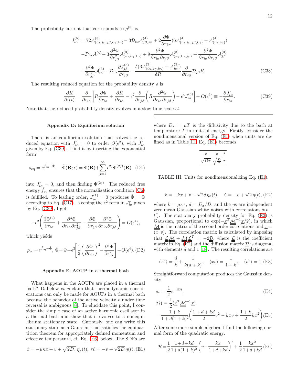The probability current that corresponds to  $\rho^{(5)}$  is

$$
J_{i\alpha}^{(5)} = 72\mathcal{A}_{(i\alpha,j\beta,j\beta,k\gamma,k\gamma)}^{(5)} - 3\mathcal{D}_{i\alpha}\mathcal{A}_{j\beta,j\beta}^{(4)} + 2\frac{\partial \Phi}{\partial r_{k\gamma}}(6\mathcal{A}_{(i\alpha,j\beta,j\beta,k\gamma)}^{(4)} + \mathcal{A}_{(i\alpha,k\gamma)}^{(4)})
$$

$$
- \mathcal{D}_{i\alpha}\mathcal{A}^{(4)} + 3\frac{\partial^2 \Phi}{\partial r_{j\beta}^2}\mathcal{A}_{(i\alpha,k\gamma,k\gamma)}^{(3)} + 9\frac{\partial^2 \Phi}{\partial r_{i\alpha}\partial r_{j\beta}}\mathcal{A}_{(k\gamma,k\gamma,j\beta)}^{(3)} + \frac{\partial^2 \Phi}{\partial r_{i\alpha}\partial r_{j\beta}}\mathcal{A}_{j\beta}^{(3)}
$$

$$
+ \frac{\partial^2 \Phi}{\partial r_{j\beta}^2}\mathcal{A}_{i\alpha}^{(3)} - \mathcal{D}_{i\alpha}\frac{\partial J_{j\beta}^{(3)}}{\partial r_{j\beta}} - \frac{\delta(3\mathcal{A}_{(i\alpha,k\gamma,k\gamma)}^{(3)} + \mathcal{A}_{i\alpha}^{(3)})}{\delta R}\frac{\partial}{\partial r_{j\beta}}\mathcal{D}_{j\beta}R.
$$
(C38)

The resulting reduced equation for the probability density  $\rho$  is

<span id="page-12-2"></span>
$$
\frac{\partial R}{\partial(\epsilon t)} = \frac{\partial}{\partial r_{i\alpha}} \left[ R \frac{\partial \Phi}{\partial r_{i\alpha}} + \frac{\partial R}{\partial r_{i\alpha}} - \epsilon^2 \frac{\partial}{\partial r_{j\beta}} \left( R \frac{\partial^2 \Phi}{\partial r_{i\alpha} \partial r_{j\beta}} \right) - \epsilon^4 J_{i\alpha}^{(5)} \right] + O(\epsilon^6) \equiv -\frac{\partial J_{i\alpha}^r}{\partial r_{i\alpha}}.
$$
(C39)

Note that the reduced probability density evolves in a slow time scale  $\epsilon t$ .

#### <span id="page-12-0"></span>Appendix D: Equilibrium solution

There is an equilibrium solution that solves the reduced equation with  $J_{i\alpha}^r = 0$  to order  $O(\epsilon^2)$ , with  $J_{i\alpha}^r$ given by Eq. [\(C39\)](#page-12-2). I find it by inserting the exponential form

$$
\rho_{\text{eq}} = e^{\tilde{f}_{\text{eq}} - \tilde{\Phi}}, \quad \tilde{\Phi}(\mathbf{R}; \epsilon) = \Phi(\mathbf{R}) + \sum_{j=1}^{\infty} \epsilon^{2j} \Phi^{(2j)}(\mathbf{R}), \text{ (D1)}
$$

into  $J_{i\alpha}^r = 0$ , and then finding  $\Phi^{(2j)}$ . The reduced free energy  $f_{\text{eq}}$  ensures that the normalization condition [\(C6\)](#page-9-5) is fulfilled. To leading order,  $J_{i\alpha}^{(1)} = 0$  produces  $\tilde{\Phi} = \Phi$ according to Eq. [\(C17\)](#page-10-4). Keeping the  $\epsilon^2$  term in  $J_{i\alpha}^r$  given by Eq. [\(C39\)](#page-12-2), I get

$$
-\epsilon^2 \left( \frac{\partial \Phi^{(2)}}{\partial r_{i\alpha}} + \frac{\partial^3 \Phi}{\partial r_{i\alpha} \partial r_{j\beta}^2} - \frac{\partial \Phi}{\partial r_{j\beta}} \frac{\partial^2 \Phi}{\partial r_{i\alpha} \partial r_{j\beta}} \right) = O(\epsilon^4),
$$

which yields

$$
\rho_{\text{eq}} = e^{\tilde{f}_{\text{eq}} - \tilde{\Phi}}, \ \tilde{\Phi} = \Phi + \epsilon^2 \left[ \frac{1}{2} \left( \frac{\partial \Phi}{\partial r_{i\alpha}} \right)^2 - \frac{\partial^2 \Phi}{\partial r_{i\alpha}^2} \right] + O(\epsilon^4). \ (D2)
$$

#### <span id="page-12-1"></span>Appendix E: AOUP in a thermal bath

What happens in the AOUPs are placed in a thermal bath? Dabelow et al claim that thermodynamic considerations can only be made for AOUPs in a thermal bath because the behavior of the active velocity  $v$  under time reversal is ambiguous [\[8](#page-13-6)]. To elucidate this point, I consider the simple case of an active harmonic oscillator in a thermal bath and show that it evolves to a nonequilibrium stationary state. Curiously, one can write this stationary state as a Gaussian that satisfies the equipartition theorem for appropriately defined momentum and effective temperature, cf. Eq. [\(E6\)](#page-12-3) below. The SDEs are

<span id="page-12-4"></span>
$$
\dot{x} = -\mu\kappa x + v + \sqrt{2D_x} \eta_x(t), \tau \dot{v} = -v + \sqrt{2D} \eta(t),
$$
(E1)

<span id="page-12-5"></span>where  $D_x = \mu T$  is the diffusivity due to the bath at temperature  $T$  in units of energy. Firstly, consider the nondimensional version of Eq. [\(E1\)](#page-12-4) when units are defined as in Table [III.](#page-12-5) Eq. [\(E1\)](#page-12-4) becomes

$$
\frac{x}{\sqrt{D\tau}} \frac{v}{\sqrt{\frac{D}{\tau}}} \frac{t}{\tau}
$$

TABLE III: Units for nondimensionalizing Eq. [\(E1\)](#page-12-4).

<span id="page-12-6"></span>
$$
\dot{x} = -kx + v + \sqrt{2d} \eta_x(t), \quad \dot{v} = -v + \sqrt{2} \eta(t),
$$
 (E2)

where  $k = \mu \kappa \tau$ ,  $d = D_x/D$ , and the  $\eta s$  are independent zero mean Gaussian white noises with correlations  $\delta(t$  $t'$ ). The stationary probability density for Eq. [\(E2\)](#page-12-6) is Gaussian, proportional to  $\exp(-\underline{x}^T \underline{M}^{-1} \underline{x}/2)$ , in which  $\underline{\mathcal{M}}$  is the matrix of the second order correlations and  $\underline{x} =$  $\overline{(x, v)}$ . The correlation matrix is calculated by imposing that  $\underline{\underline{\mathcal{L}}}\underline{\underline{\mathcal{M}}} + \underline{\underline{\mathcal{M}}}\underline{\underline{\mathcal{L}}}^T = -2\underline{\underline{\mathcal{D}}}$ , where  $\underline{\underline{\mathcal{L}}}$  is the coefficient matrix in Eq. [\(E2\)](#page-12-6) and the diffusion matrix  $\underline{\mathcal{D}}$  is diagonal with elements  $d$  and 1 [\[18\]](#page-13-16). The resulting correlations are

$$
\langle x^2 \rangle = \frac{d}{k} + \frac{1}{k(d+k)}, \quad \langle xv \rangle = \frac{1}{1+k}, \quad \langle v^2 \rangle = 1.
$$
 (E3)

Straightforward computation produces the Gaussian density

<span id="page-12-7"></span>
$$
\rho_s = \frac{1}{Z} e^{-\beta \mathcal{H}},
$$
\n
$$
\beta \mathcal{H} = \frac{1}{2} (x^T \underline{\mathcal{M}}^{-1} x)
$$
\n
$$
= \frac{1+k}{1+d(1+k)^2} \left( \frac{1+d+kd}{2} v^2 - kxv + \frac{1+k}{2} kx^2 \right) \text{(E5)}
$$

After some more simple algebra, I find the following normal form of the quadratic energy:

<span id="page-12-3"></span>
$$
\mathcal{H} = \frac{1}{2} \frac{1+d+kd}{1+d(1+k)^2} \left(v - \frac{kx}{1+d+kd}\right)^2 + \frac{1}{2} \frac{kx^2}{1+d+kd}.
$$
(E6)